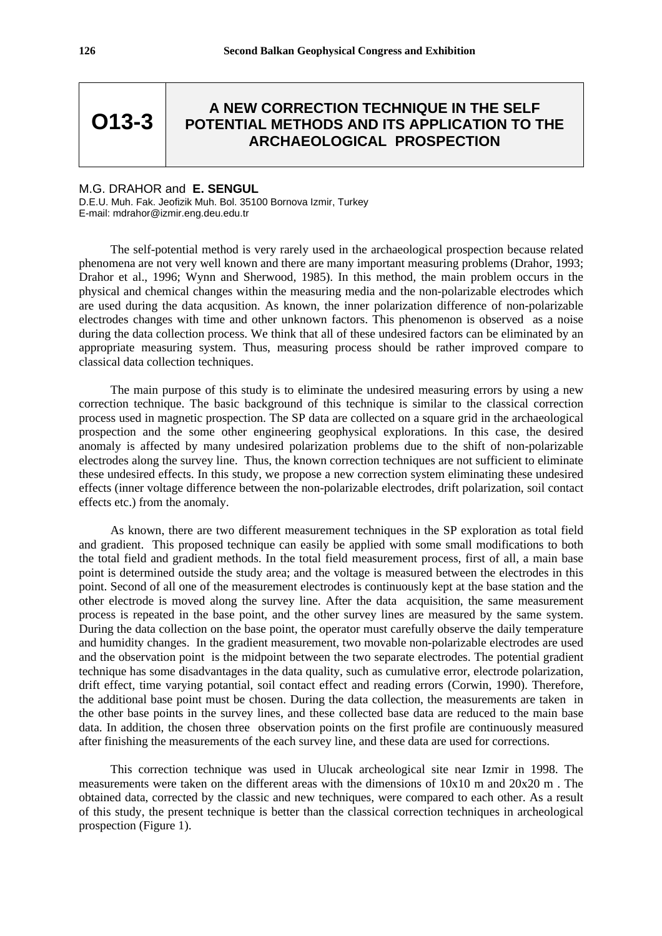**O13-3**

## **A NEW CORRECTION TECHNIQUE IN THE SELF POTENTIAL METHODS AND ITS APPLICATION TO THE ARCHAEOLOGICAL PROSPECTION**

## M.G. DRAHOR and **E. SENGUL**

D.E.U. Muh. Fak. Jeofizik Muh. Bol. 35100 Bornova Izmir, Turkey E-mail: mdrahor@izmir.eng.deu.edu.tr

The self-potential method is very rarely used in the archaeological prospection because related phenomena are not very well known and there are many important measuring problems (Drahor, 1993; Drahor et al., 1996; Wynn and Sherwood, 1985). In this method, the main problem occurs in the physical and chemical changes within the measuring media and the non-polarizable electrodes which are used during the data acqusition. As known, the inner polarization difference of non-polarizable electrodes changes with time and other unknown factors. This phenomenon is observed as a noise during the data collection process. We think that all of these undesired factors can be eliminated by an appropriate measuring system. Thus, measuring process should be rather improved compare to classical data collection techniques.

The main purpose of this study is to eliminate the undesired measuring errors by using a new correction technique. The basic background of this technique is similar to the classical correction process used in magnetic prospection. The SP data are collected on a square grid in the archaeological prospection and the some other engineering geophysical explorations. In this case, the desired anomaly is affected by many undesired polarization problems due to the shift of non-polarizable electrodes along the survey line. Thus, the known correction techniques are not sufficient to eliminate these undesired effects. In this study, we propose a new correction system eliminating these undesired effects (inner voltage difference between the non-polarizable electrodes, drift polarization, soil contact effects etc.) from the anomaly.

As known, there are two different measurement techniques in the SP exploration as total field and gradient. This proposed technique can easily be applied with some small modifications to both the total field and gradient methods. In the total field measurement process, first of all, a main base point is determined outside the study area; and the voltage is measured between the electrodes in this point. Second of all one of the measurement electrodes is continuously kept at the base station and the other electrode is moved along the survey line. After the data acquisition, the same measurement process is repeated in the base point, and the other survey lines are measured by the same system. During the data collection on the base point, the operator must carefully observe the daily temperature and humidity changes. In the gradient measurement, two movable non-polarizable electrodes are used and the observation point is the midpoint between the two separate electrodes. The potential gradient technique has some disadvantages in the data quality, such as cumulative error, electrode polarization, drift effect, time varying potantial, soil contact effect and reading errors (Corwin, 1990). Therefore, the additional base point must be chosen. During the data collection, the measurements are taken in the other base points in the survey lines, and these collected base data are reduced to the main base data. In addition, the chosen three observation points on the first profile are continuously measured after finishing the measurements of the each survey line, and these data are used for corrections.

This correction technique was used in Ulucak archeological site near Izmir in 1998. The measurements were taken on the different areas with the dimensions of 10x10 m and 20x20 m . The obtained data, corrected by the classic and new techniques, were compared to each other. As a result of this study, the present technique is better than the classical correction techniques in archeological prospection (Figure 1).